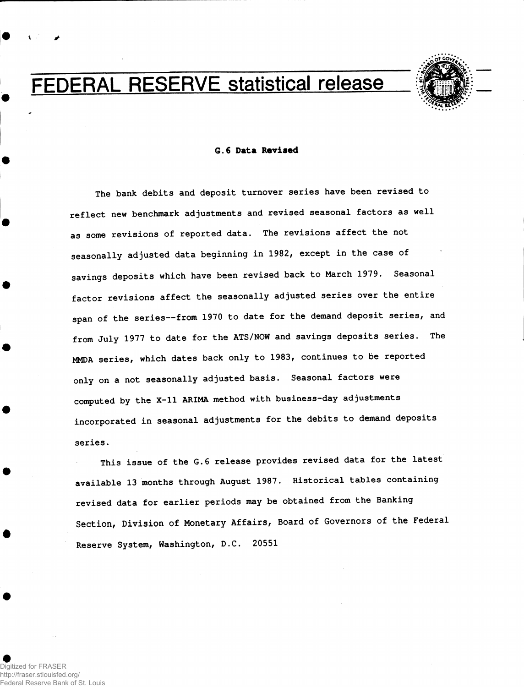# FEDERAL RESERVE statistical release



#### **6.6 Data Revised**

**The bank debits and deposit turnover series have been revised to reflect new benchmark adjustments and revised seasonal factors as well as some revisions of reported data. The revisions affect the not seasonally adjusted data beginning in 1982, except in the case of savings deposits which have been revised back to March 1979. Seasonal factor revisions affect the seasonally adjusted series over the entire span of the series—from 1970 to date for the demand deposit series, and from July 1977 to date for the ATS/NOW and savings deposits series. The MMDA series, which dates back only to 1983, continues to be reported only on a not seasonally adjusted basis. Seasonal factors were computed by the X-ll ARIMA method with business-day adjustments incorporated in seasonal adjustments for the debits to demand deposits series.** 

**This issue of the G.6 release provides revised data for the latest available 13 months through August 1987. Historical tables containing revised data for earlier periods may be obtained from the Banking Section, Division of Monetary Affairs, Board of Governors of the Federal Reserve System, Washington, D.C. 20551**

Digitized for FRASER http://fraser.stlouisfed.org/ Reserve Bank of St. Louis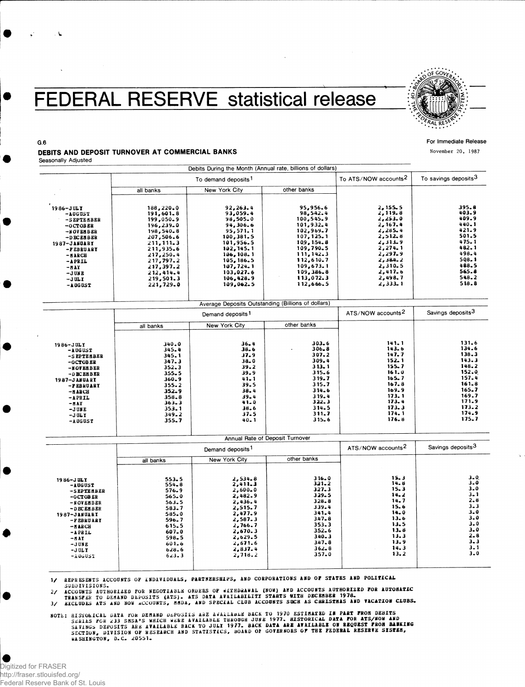### FEDERAL RESERVE statistical release



#### For Immediate Release

**November 20, 1987**

### DEBITS AND DEPOSIT TURNOVER AT COMMERCIAL BANKS

Seasonally Adjusted

G.6

|                                                                                                                                                 |                                                                                                                                               | Debits During the Month (Annual rate, billions of dollars)                                                                                  |                                                                                                                                             |                                                                                                                        |                                                                                                         |
|-------------------------------------------------------------------------------------------------------------------------------------------------|-----------------------------------------------------------------------------------------------------------------------------------------------|---------------------------------------------------------------------------------------------------------------------------------------------|---------------------------------------------------------------------------------------------------------------------------------------------|------------------------------------------------------------------------------------------------------------------------|---------------------------------------------------------------------------------------------------------|
|                                                                                                                                                 |                                                                                                                                               | To demand deposits <sup>1</sup>                                                                                                             | To ATS/NOW accounts <sup>2</sup>                                                                                                            | To savings deposits <sup>3</sup>                                                                                       |                                                                                                         |
|                                                                                                                                                 | all banks                                                                                                                                     | New York City                                                                                                                               | other banks                                                                                                                                 |                                                                                                                        |                                                                                                         |
| $1986 - JULT$<br>$-$ AUGUST<br>-SEPTEMBER<br>$-0$ CTOBER<br>-NOVEMBER<br>-DECENBER<br>1987-JANUARY<br>-PEBRUARY<br>$-8ABCB$<br>-APRIL<br>$-MAY$ | 188,220.0<br>191,601.8<br>199,050.9<br>196,239.0<br>198,540.8<br>207,506.6<br>211, 111, 3<br>211,935.6<br>217,250.4<br>217,797.2<br>217,397.2 | 92,263.4<br>93,059.4<br>98,505.0<br>94,306.6<br>95,571.1<br>100,381.5<br>101,956.5<br>102, 145, 1<br>106, 108.1<br>105, 186, 5<br>107,724.1 | 95,956.6<br>98.542.4<br>100,545.9<br>101.932.4<br>102,969.7<br>107,125,1<br>109, 154.8<br>109,790.5<br>111, 142.3<br>112,610.7<br>109,673.1 | 2.155.5<br>2,119.8<br>2,253.0<br>2, 167.4<br>2,285.4<br>2,512,8<br>2,313.9<br>2,274.1<br>2,297.9<br>2,384.2<br>2.310.5 | 395.8<br>403.9<br>409.9<br>$440 - 1$<br>$421 - 9$<br>501.5<br>475.1<br>482.1<br>498.4<br>508.1<br>488.5 |
| $-JUNE$<br>$-JULY$                                                                                                                              | 212.414.4<br>219,501.3                                                                                                                        | 103,027.6<br>106,428.9                                                                                                                      | 109, 386, 8<br>113,072.3                                                                                                                    | 2,417.6<br>2,498.7                                                                                                     | 565.8<br>548.2                                                                                          |
| $-$ A UG US T                                                                                                                                   | 221,729.0                                                                                                                                     | 109,062.5                                                                                                                                   | 112,666.5                                                                                                                                   | 2,333.1                                                                                                                | 518.8                                                                                                   |

|                                                                                                                                                            |                                                                                                                                           | Demand deposits <sup>1</sup>                                                                                                         | ATS/NOW accounts <sup>2</sup>                                                                                                                                 | Savings deposits <sup>3</sup>                                                                                              |                                                                                                                                |
|------------------------------------------------------------------------------------------------------------------------------------------------------------|-------------------------------------------------------------------------------------------------------------------------------------------|--------------------------------------------------------------------------------------------------------------------------------------|---------------------------------------------------------------------------------------------------------------------------------------------------------------|----------------------------------------------------------------------------------------------------------------------------|--------------------------------------------------------------------------------------------------------------------------------|
|                                                                                                                                                            | all banks                                                                                                                                 | New York City                                                                                                                        | other banks                                                                                                                                                   |                                                                                                                            |                                                                                                                                |
| 1986-JULY<br>$-$ AUGUST<br>-SEPTEMBER<br>$-0CTOBER$<br>-NOVEMBER<br>-DECEMBER<br><b>1987-JANUARY</b><br>-FEBRUARY<br>-BARCH<br>-APRIL<br>$-MAX$<br>$-JUME$ | 340.0<br>345.4<br>345.1<br>347.3<br>$352 - 3$<br>$355 - 5$<br>$360 - 9$<br>$355 - 2$<br>352.9<br>358.8<br>$363 - 3$<br>$353 - 1$<br>349.2 | $36 - 4$<br>38.6<br>37.9<br>$38 - 0$<br>$39 - 2$<br>$39 - 9$<br>$41 - 1$<br>39.5<br>$38 - 4$<br>$39 - 4$<br>$41 - 0$<br>38.6<br>37.5 | $303 - 6$<br>$306 - 8$<br>$\cdot$<br>$307 - 2$<br>309.4<br>$313 - 1$<br>315.6<br>319.7<br>315.7<br>314.6<br>$319 - 4$<br>322.3<br>314.5<br>311.7<br>$315 - 6$ | 141.1<br>143.6<br>147.7<br>152.1<br>155.7<br>161.0<br>165.7<br>167.8<br>169.9<br>173.1<br>173.4<br>173.3<br>174.1<br>176.8 | 131.6<br>134.6<br>138.3<br>143.3<br>148.2<br>152.0<br>157.4<br>$161 - 8$<br>165.7<br>169.7<br>171.9<br>173.2<br>174.9<br>175.7 |

|                                                                                                                                                                               |                                                                                                                                        | Annual Rate of Deposit Turnover                                                                                                                            |                                                                                                                                                 |                                                                                                              |                                                                                                                                                    |
|-------------------------------------------------------------------------------------------------------------------------------------------------------------------------------|----------------------------------------------------------------------------------------------------------------------------------------|------------------------------------------------------------------------------------------------------------------------------------------------------------|-------------------------------------------------------------------------------------------------------------------------------------------------|--------------------------------------------------------------------------------------------------------------|----------------------------------------------------------------------------------------------------------------------------------------------------|
|                                                                                                                                                                               | Demand deposits <sup>1</sup>                                                                                                           |                                                                                                                                                            |                                                                                                                                                 | ATS/NOW accounts <sup>2</sup>                                                                                | Savings deposits <sup>3</sup>                                                                                                                      |
|                                                                                                                                                                               | all banks                                                                                                                              | New York City                                                                                                                                              | other banks                                                                                                                                     |                                                                                                              |                                                                                                                                                    |
| 1986-JULY<br>-AUGUST<br>-SEPTEMBER<br>$-0CTOBER$<br>-NOVEMBER<br>$-DECEHBER$<br>1987-JANUARY<br>-FEBRUARY<br>$-AABCH$<br>$-A$ PRIL<br>-HAY<br>$-JUNE$<br>$-J$ UL Y<br>-AUGUST | 553.5<br>$554 - 8$<br>$576 - 9$<br>$565 - 0$<br>563.5<br>583.7<br>585.0<br>596.7<br>615.5<br>607.0<br>598.5<br>601.6<br>628.6<br>623.3 | 2,534.8<br>2.411.3<br>$2,600 - 0$<br>2,482.9<br>2.436.4<br>2,515.7<br>2,477.9<br>2,587.3<br>2.766.7<br>2,670.3<br>2,629.5<br>2,671.6<br>2,837.4<br>2,718.2 | 316.0<br>$3.21 - 2$<br>$327 - 3$<br>329.5<br>$328 - 8$<br>339.4<br>341.4<br>347.8<br>353.3<br>$352 - 6$<br>340.3<br>347.8<br>$362 - 8$<br>357.0 | 15.3<br>14.8<br>15.3<br>14.2<br>14.7<br>15.6<br>14.0<br>13.6<br>13.5<br>13.8<br>13.3<br>13.9<br>14.3<br>13.2 | $3 - 0$<br>$3 - 0$<br>$3 - 0$<br>$3 - 1$<br>$2 - 8$<br>$3 - 3$<br>$3 - 0$<br>3.0<br>$3 - 0$<br>$3 - 0$<br>$2 - 8$<br>$3 - 3$<br>$3 - 1$<br>$3 - 0$ |

**1/ REPRESENTS ACCOUNTS OF INDIVIDUALS, PARTNERSHIPS, AND CORPORATIONS AND OF STATES AND POLITICAL**

2/ ACCOUNTS AUTHORIZED FOR NEGOTIABLE ORDERS OF WITHDRAWAL (NOW) AND ACCOUNTS AUTHORIZED FOR AUTOBATIC<br>TRANSFER TO DEMAND DEPOSITS (ATS). ATS DATA AVAILABILITY STARTS WITH DECHBER 1978.<br>3/ KXCLUDES ATS AND NOW ACCOUNTS, MU

NOTE: HISTORICAL DATA FOR DEMAND DEPOSITS ARE AVAILABLE BACK TO 1970 ESTIMATED IN PART FROM DEBITS.<br>SERIES FOR 233 SMSA'S WHICH WERE AVAILABLE THROUGH JUMY 1977. HISTORICAL DATA FOR ATS/MOM AND<br>SAVINGS DEPOSITS ARE AVAILAB **WASHINGTON, D.C. 20551.**